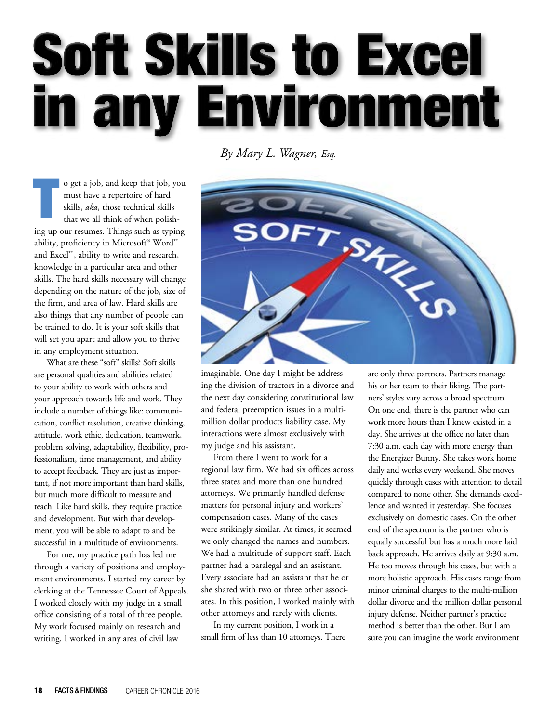# **Soft Skills to Excel** in any Environment

## *By Mary L. Wagner, Esq.*

o get a job, and keep that job, you must have a repertoire of hard skills, *aka*, those technical skills that we all think of when polishing up our resumes. Things such as typing ability, proficiency in Microsoft® Word™ and Excel™, ability to write and research, knowledge in a particular area and other skills. The hard skills necessary will change depending on the nature of the job, size of the firm, and area of law. Hard skills are also things that any number of people can be trained to do. It is your soft skills that will set you apart and allow you to thrive in any employment situation.

What are these "soft" skills? Soft skills are personal qualities and abilities related to your ability to work with others and your approach towards life and work. They include a number of things like: communication, conflict resolution, creative thinking, attitude, work ethic, dedication, teamwork, problem solving, adaptability, flexibility, professionalism, time management, and ability to accept feedback. They are just as important, if not more important than hard skills, but much more difficult to measure and teach. Like hard skills, they require practice and development. But with that development, you will be able to adapt to and be successful in a multitude of environments.

For me, my practice path has led me through a variety of positions and employment environments. I started my career by clerking at the Tennessee Court of Appeals. I worked closely with my judge in a small office consisting of a total of three people. My work focused mainly on research and writing. I worked in any area of civil law



imaginable. One day I might be addressing the division of tractors in a divorce and the next day considering constitutional law and federal preemption issues in a multimillion dollar products liability case. My interactions were almost exclusively with my judge and his assistant.

From there I went to work for a regional law firm. We had six offices across three states and more than one hundred attorneys. We primarily handled defense matters for personal injury and workers' compensation cases. Many of the cases were strikingly similar. At times, it seemed we only changed the names and numbers. We had a multitude of support staff. Each partner had a paralegal and an assistant. Every associate had an assistant that he or she shared with two or three other associates. In this position, I worked mainly with other attorneys and rarely with clients.

In my current position, I work in a small firm of less than 10 attorneys. There are only three partners. Partners manage his or her team to their liking. The partners' styles vary across a broad spectrum. On one end, there is the partner who can work more hours than I knew existed in a day. She arrives at the office no later than 7:30 a.m. each day with more energy than the Energizer Bunny. She takes work home daily and works every weekend. She moves quickly through cases with attention to detail compared to none other. She demands excellence and wanted it yesterday. She focuses exclusively on domestic cases. On the other end of the spectrum is the partner who is equally successful but has a much more laid back approach. He arrives daily at 9:30 a.m. He too moves through his cases, but with a more holistic approach. His cases range from minor criminal charges to the multi-million dollar divorce and the million dollar personal injury defense. Neither partner's practice method is better than the other. But I am sure you can imagine the work environment